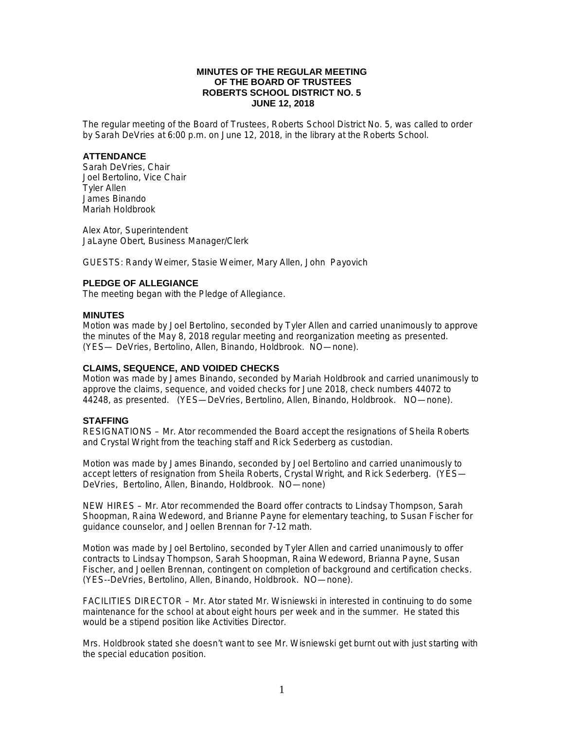## **MINUTES OF THE REGULAR MEETING OF THE BOARD OF TRUSTEES ROBERTS SCHOOL DISTRICT NO. 5 JUNE 12, 2018**

The regular meeting of the Board of Trustees, Roberts School District No. 5, was called to order by Sarah DeVries at 6:00 p.m. on June 12, 2018, in the library at the Roberts School.

### **ATTENDANCE**

Sarah DeVries, Chair Joel Bertolino, Vice Chair Tyler Allen James Binando Mariah Holdbrook

Alex Ator, Superintendent JaLayne Obert, Business Manager/Clerk

GUESTS: Randy Weimer, Stasie Weimer, Mary Allen, John Payovich

# **PLEDGE OF ALLEGIANCE**

The meeting began with the Pledge of Allegiance.

### **MINUTES**

Motion was made by Joel Bertolino, seconded by Tyler Allen and carried unanimously to approve the minutes of the May 8, 2018 regular meeting and reorganization meeting as presented. (YES— DeVries, Bertolino, Allen, Binando, Holdbrook. NO—none).

### **CLAIMS, SEQUENCE, AND VOIDED CHECKS**

Motion was made by James Binando, seconded by Mariah Holdbrook and carried unanimously to approve the claims, sequence, and voided checks for June 2018, check numbers 44072 to 44248, as presented. (YES—DeVries, Bertolino, Allen, Binando, Holdbrook. NO—none).

## **STAFFING**

RESIGNATIONS – Mr. Ator recommended the Board accept the resignations of Sheila Roberts and Crystal Wright from the teaching staff and Rick Sederberg as custodian.

Motion was made by James Binando, seconded by Joel Bertolino and carried unanimously to accept letters of resignation from Sheila Roberts, Crystal Wright, and Rick Sederberg. (YES— DeVries, Bertolino, Allen, Binando, Holdbrook. NO—none)

NEW HIRES – Mr. Ator recommended the Board offer contracts to Lindsay Thompson, Sarah Shoopman, Raina Wedeword, and Brianne Payne for elementary teaching, to Susan Fischer for guidance counselor, and Joellen Brennan for 7-12 math.

Motion was made by Joel Bertolino, seconded by Tyler Allen and carried unanimously to offer contracts to Lindsay Thompson, Sarah Shoopman, Raina Wedeword, Brianna Payne, Susan Fischer, and Joellen Brennan, contingent on completion of background and certification checks. (YES--DeVries, Bertolino, Allen, Binando, Holdbrook. NO—none).

FACILITIES DIRECTOR – Mr. Ator stated Mr. Wisniewski in interested in continuing to do some maintenance for the school at about eight hours per week and in the summer. He stated this would be a stipend position like Activities Director.

Mrs. Holdbrook stated she doesn't want to see Mr. Wisniewski get burnt out with just starting with the special education position.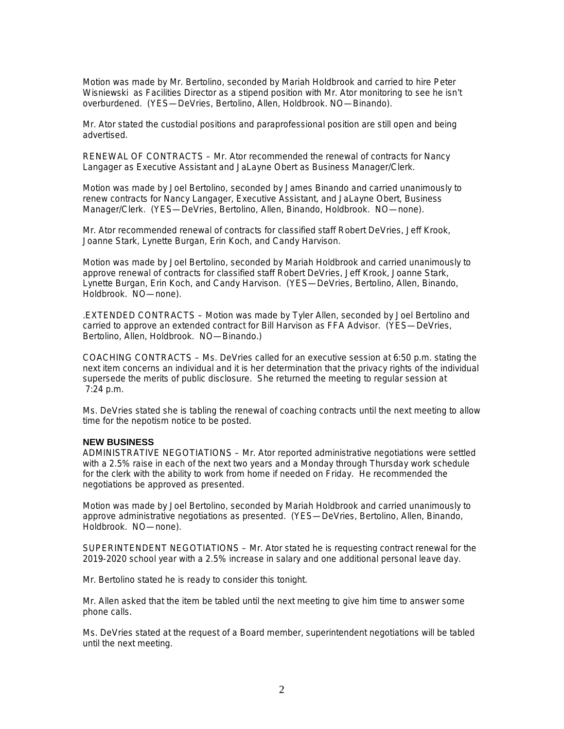Motion was made by Mr. Bertolino, seconded by Mariah Holdbrook and carried to hire Peter Wisniewski as Facilities Director as a stipend position with Mr. Ator monitoring to see he isn't overburdened. (YES—DeVries, Bertolino, Allen, Holdbrook. NO—Binando).

Mr. Ator stated the custodial positions and paraprofessional position are still open and being advertised.

RENEWAL OF CONTRACTS – Mr. Ator recommended the renewal of contracts for Nancy Langager as Executive Assistant and JaLayne Obert as Business Manager/Clerk.

Motion was made by Joel Bertolino, seconded by James Binando and carried unanimously to renew contracts for Nancy Langager, Executive Assistant, and JaLayne Obert, Business Manager/Clerk. (YES—DeVries, Bertolino, Allen, Binando, Holdbrook. NO—none).

Mr. Ator recommended renewal of contracts for classified staff Robert DeVries, Jeff Krook, Joanne Stark, Lynette Burgan, Erin Koch, and Candy Harvison.

Motion was made by Joel Bertolino, seconded by Mariah Holdbrook and carried unanimously to approve renewal of contracts for classified staff Robert DeVries, Jeff Krook, Joanne Stark, Lynette Burgan, Erin Koch, and Candy Harvison. (YES—DeVries, Bertolino, Allen, Binando, Holdbrook. NO—none).

.EXTENDED CONTRACTS – Motion was made by Tyler Allen, seconded by Joel Bertolino and carried to approve an extended contract for Bill Harvison as FFA Advisor. (YES—DeVries, Bertolino, Allen, Holdbrook. NO—Binando.)

COACHING CONTRACTS – Ms. DeVries called for an executive session at 6:50 p.m. stating the next item concerns an individual and it is her determination that the privacy rights of the individual supersede the merits of public disclosure. She returned the meeting to regular session at 7:24 p.m.

Ms. DeVries stated she is tabling the renewal of coaching contracts until the next meeting to allow time for the nepotism notice to be posted.

#### **NEW BUSINESS**

ADMINISTRATIVE NEGOTIATIONS – Mr. Ator reported administrative negotiations were settled with a 2.5% raise in each of the next two years and a Monday through Thursday work schedule for the clerk with the ability to work from home if needed on Friday. He recommended the negotiations be approved as presented.

Motion was made by Joel Bertolino, seconded by Mariah Holdbrook and carried unanimously to approve administrative negotiations as presented. (YES—DeVries, Bertolino, Allen, Binando, Holdbrook. NO—none).

SUPERINTENDENT NEGOTIATIONS – Mr. Ator stated he is requesting contract renewal for the 2019-2020 school year with a 2.5% increase in salary and one additional personal leave day.

Mr. Bertolino stated he is ready to consider this tonight.

Mr. Allen asked that the item be tabled until the next meeting to give him time to answer some phone calls.

Ms. DeVries stated at the request of a Board member, superintendent negotiations will be tabled until the next meeting.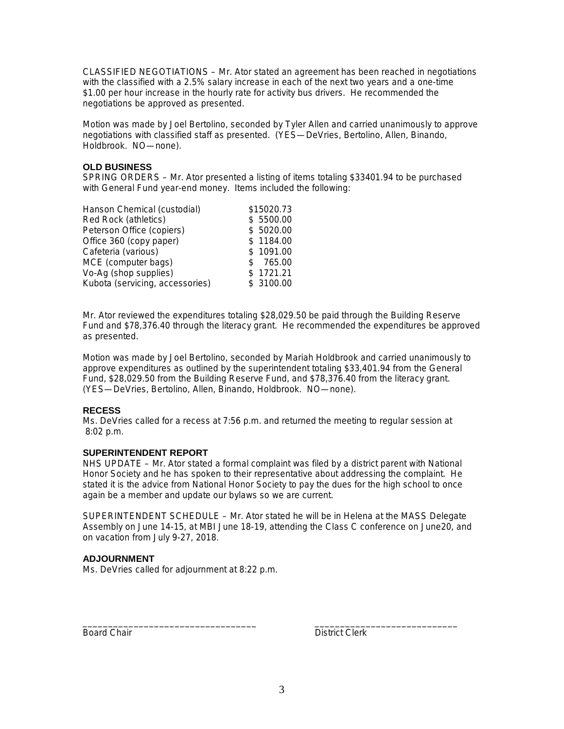CLASSIFIED NEGOTIATIONS – Mr. Ator stated an agreement has been reached in negotiations with the classified with a 2.5% salary increase in each of the next two years and a one-time \$1.00 per hour increase in the hourly rate for activity bus drivers. He recommended the negotiations be approved as presented.

Motion was made by Joel Bertolino, seconded by Tyler Allen and carried unanimously to approve negotiations with classified staff as presented. (YES—DeVries, Bertolino, Allen, Binando, Holdbrook. NO—none).

# **OLD BUSINESS**

SPRING ORDERS – Mr. Ator presented a listing of items totaling \$33401.94 to be purchased with General Fund year-end money. Items included the following:

| Hanson Chemical (custodial)     | \$15020.73 |
|---------------------------------|------------|
| Red Rock (athletics)            | \$5500.00  |
| Peterson Office (copiers)       | \$5020.00  |
| Office 360 (copy paper)         | \$1184.00  |
| Cafeteria (various)             | \$1091.00  |
| MCE (computer bags)             | \$765.00   |
| Vo-Ag (shop supplies)           | \$1721.21  |
| Kubota (servicing, accessories) | \$ 3100.00 |

Mr. Ator reviewed the expenditures totaling \$28,029.50 be paid through the Building Reserve Fund and \$78,376.40 through the literacy grant. He recommended the expenditures be approved as presented.

Motion was made by Joel Bertolino, seconded by Mariah Holdbrook and carried unanimously to approve expenditures as outlined by the superintendent totaling \$33,401.94 from the General Fund, \$28,029.50 from the Building Reserve Fund, and \$78,376.40 from the literacy grant. (YES—DeVries, Bertolino, Allen, Binando, Holdbrook. NO—none).

## **RECESS**

Ms. DeVries called for a recess at 7:56 p.m. and returned the meeting to regular session at 8:02 p.m.

## **SUPERINTENDENT REPORT**

NHS UPDATE – Mr. Ator stated a formal complaint was filed by a district parent with National Honor Society and he has spoken to their representative about addressing the complaint. He stated it is the advice from National Honor Society to pay the dues for the high school to once again be a member and update our bylaws so we are current.

SUPERINTENDENT SCHEDULE – Mr. Ator stated he will be in Helena at the MASS Delegate Assembly on June 14-15, at MBI June 18-19, attending the Class C conference on June20, and on vacation from July 9-27, 2018.

# **ADJOURNMENT**

Ms. DeVries called for adjournment at 8:22 p.m.

Board Chair **District Clerk** 

\_\_\_\_\_\_\_\_\_\_\_\_\_\_\_\_\_\_\_\_\_\_\_\_\_\_\_\_\_\_\_\_\_\_ \_\_\_\_\_\_\_\_\_\_\_\_\_\_\_\_\_\_\_\_\_\_\_\_\_\_\_\_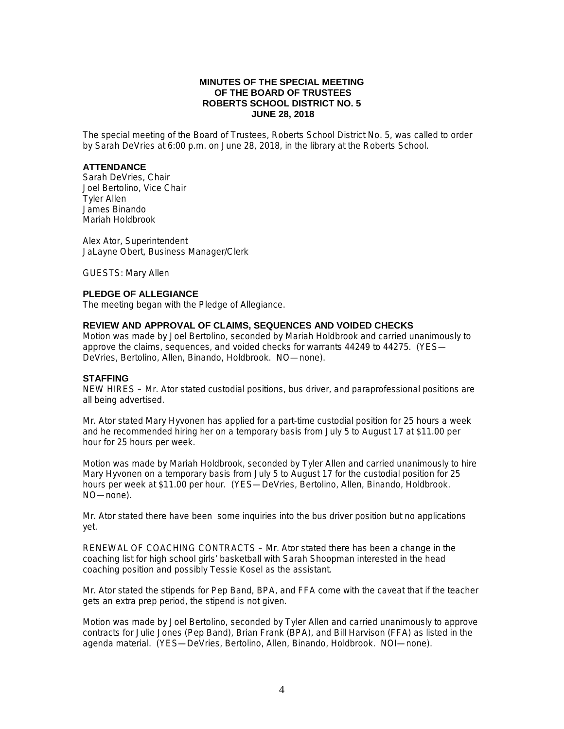## **MINUTES OF THE SPECIAL MEETING OF THE BOARD OF TRUSTEES ROBERTS SCHOOL DISTRICT NO. 5 JUNE 28, 2018**

The special meeting of the Board of Trustees, Roberts School District No. 5, was called to order by Sarah DeVries at 6:00 p.m. on June 28, 2018, in the library at the Roberts School.

## **ATTENDANCE**

Sarah DeVries, Chair Joel Bertolino, Vice Chair Tyler Allen James Binando Mariah Holdbrook

Alex Ator, Superintendent JaLayne Obert, Business Manager/Clerk

GUESTS: Mary Allen

#### **PLEDGE OF ALLEGIANCE**

The meeting began with the Pledge of Allegiance.

### **REVIEW AND APPROVAL OF CLAIMS, SEQUENCES AND VOIDED CHECKS**

Motion was made by Joel Bertolino, seconded by Mariah Holdbrook and carried unanimously to approve the claims, sequences, and voided checks for warrants 44249 to 44275. (YES— DeVries, Bertolino, Allen, Binando, Holdbrook. NO—none).

### **STAFFING**

NEW HIRES – Mr. Ator stated custodial positions, bus driver, and paraprofessional positions are all being advertised.

Mr. Ator stated Mary Hyvonen has applied for a part-time custodial position for 25 hours a week and he recommended hiring her on a temporary basis from July 5 to August 17 at \$11.00 per hour for 25 hours per week.

Motion was made by Mariah Holdbrook, seconded by Tyler Allen and carried unanimously to hire Mary Hyvonen on a temporary basis from July 5 to August 17 for the custodial position for 25 hours per week at \$11.00 per hour. (YES—DeVries, Bertolino, Allen, Binando, Holdbrook. NO—none).

Mr. Ator stated there have been some inquiries into the bus driver position but no applications yet.

RENEWAL OF COACHING CONTRACTS – Mr. Ator stated there has been a change in the coaching list for high school girls' basketball with Sarah Shoopman interested in the head coaching position and possibly Tessie Kosel as the assistant.

Mr. Ator stated the stipends for Pep Band, BPA, and FFA come with the caveat that if the teacher gets an extra prep period, the stipend is not given.

Motion was made by Joel Bertolino, seconded by Tyler Allen and carried unanimously to approve contracts for Julie Jones (Pep Band), Brian Frank (BPA), and Bill Harvison (FFA) as listed in the agenda material. (YES—DeVries, Bertolino, Allen, Binando, Holdbrook. NOI—none).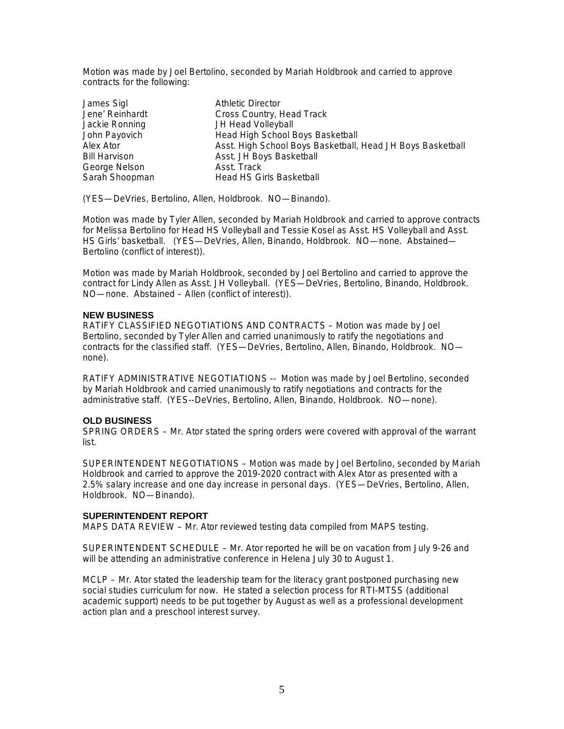Motion was made by Joel Bertolino, seconded by Mariah Holdbrook and carried to approve contracts for the following:

| James Sigl           | <b>Athletic Director</b>                                   |
|----------------------|------------------------------------------------------------|
| Jene' Reinhardt      | Cross Country, Head Track                                  |
| Jackie Ronning       | JH Head Volleyball                                         |
| John Payovich        | Head High School Boys Basketball                           |
| Alex Ator            | Asst. High School Boys Basketball, Head JH Boys Basketball |
| <b>Bill Harvison</b> | Asst. JH Boys Basketball                                   |
| George Nelson        | Asst. Track                                                |
| Sarah Shoopman       | <b>Head HS Girls Basketball</b>                            |

(YES—DeVries, Bertolino, Allen, Holdbrook. NO—Binando).

Motion was made by Tyler Allen, seconded by Mariah Holdbrook and carried to approve contracts for Melissa Bertolino for Head HS Volleyball and Tessie Kosel as Asst. HS Volleyball and Asst. HS Girls' basketball. (YES—DeVries, Allen, Binando, Holdbrook. NO—none. Abstained— Bertolino (conflict of interest)).

Motion was made by Mariah Holdbrook, seconded by Joel Bertolino and carried to approve the contract for Lindy Allen as Asst. JH Volleyball. (YES—DeVries, Bertolino, Binando, Holdbrook. NO—none. Abstained – Allen (conflict of interest)).

## **NEW BUSINESS**

RATIFY CLASSIFIED NEGOTIATIONS AND CONTRACTS – Motion was made by Joel Bertolino, seconded by Tyler Allen and carried unanimously to ratify the negotiations and contracts for the classified staff. (YES—DeVries, Bertolino, Allen, Binando, Holdbrook. NO none).

RATIFY ADMINISTRATIVE NEGOTIATIONS -- Motion was made by Joel Bertolino, seconded by Mariah Holdbrook and carried unanimously to ratify negotiations and contracts for the administrative staff. (YES--DeVries, Bertolino, Allen, Binando, Holdbrook. NO—none).

## **OLD BUSINESS**

SPRING ORDERS – Mr. Ator stated the spring orders were covered with approval of the warrant list.

SUPERINTENDENT NEGOTIATIONS – Motion was made by Joel Bertolino, seconded by Mariah Holdbrook and carried to approve the 2019-2020 contract with Alex Ator as presented with a 2.5% salary increase and one day increase in personal days. (YES—DeVries, Bertolino, Allen, Holdbrook. NO—Binando).

## **SUPERINTENDENT REPORT**

MAPS DATA REVIEW – Mr. Ator reviewed testing data compiled from MAPS testing.

SUPERINTENDENT SCHEDULE – Mr. Ator reported he will be on vacation from July 9-26 and will be attending an administrative conference in Helena July 30 to August 1.

MCLP – Mr. Ator stated the leadership team for the literacy grant postponed purchasing new social studies curriculum for now. He stated a selection process for RTI-MTSS (additional academic support) needs to be put together by August as well as a professional development action plan and a preschool interest survey.